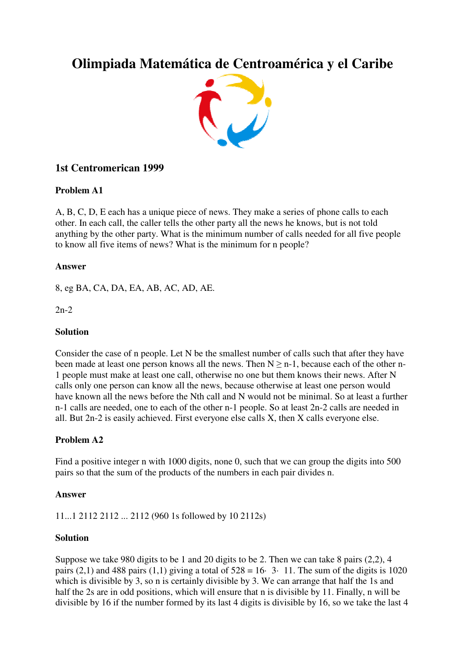# **Olimpiada Matemática de Centroamérica y el Caribe**



# **1st Centromerican 1999**

# **Problem A1**

A, B, C, D, E each has a unique piece of news. They make a series of phone calls to each other. In each call, the caller tells the other party all the news he knows, but is not told anything by the other party. What is the minimum number of calls needed for all five people to know all five items of news? What is the minimum for n people?

# **Answer**

8, eg BA, CA, DA, EA, AB, AC, AD, AE.

2n-2

## **Solution**

Consider the case of n people. Let N be the smallest number of calls such that after they have been made at least one person knows all the news. Then  $N \geq n-1$ , because each of the other n-1 people must make at least one call, otherwise no one but them knows their news. After N calls only one person can know all the news, because otherwise at least one person would have known all the news before the Nth call and N would not be minimal. So at least a further n-1 calls are needed, one to each of the other n-1 people. So at least 2n-2 calls are needed in all. But 2n-2 is easily achieved. First everyone else calls X, then X calls everyone else.

# **Problem A2**

Find a positive integer n with 1000 digits, none 0, such that we can group the digits into 500 pairs so that the sum of the products of the numbers in each pair divides n.

#### **Answer**

11...1 2112 2112 ... 2112 (960 1s followed by 10 2112s)

#### **Solution**

Suppose we take 980 digits to be 1 and 20 digits to be 2. Then we can take 8 pairs (2,2), 4 pairs (2,1) and 488 pairs (1,1) giving a total of  $528 = 16 \cdot 3 \cdot 11$ . The sum of the digits is 1020 which is divisible by 3, so n is certainly divisible by 3. We can arrange that half the 1s and half the 2s are in odd positions, which will ensure that n is divisible by 11. Finally, n will be divisible by 16 if the number formed by its last 4 digits is divisible by 16, so we take the last 4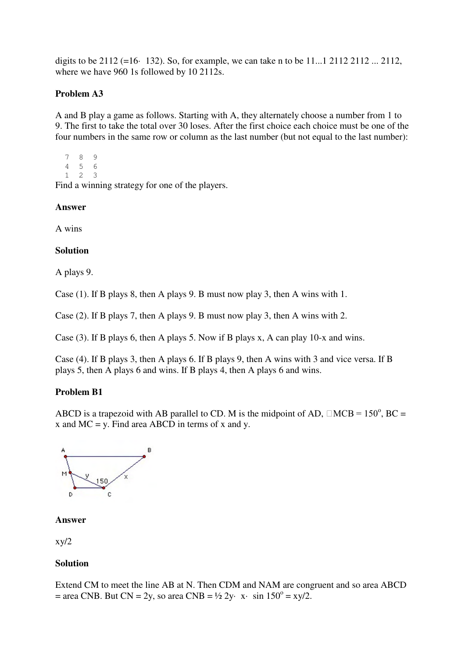digits to be 2112 (=16· 132). So, for example, we can take n to be 11...1 2112 2112 ... 2112, where we have 960 1s followed by 10 2112s.

# **Problem A3**

A and B play a game as follows. Starting with A, they alternately choose a number from 1 to 9. The first to take the total over 30 loses. After the first choice each choice must be one of the four numbers in the same row or column as the last number (but not equal to the last number):

7 8 9 4 5 6 1 2 3

Find a winning strategy for one of the players.

#### **Answer**

A wins

#### **Solution**

A plays 9.

Case (1). If B plays 8, then A plays 9. B must now play 3, then A wins with 1.

Case (2). If B plays 7, then A plays 9. B must now play 3, then A wins with 2.

Case (3). If B plays 6, then A plays 5. Now if B plays x, A can play 10-x and wins.

Case (4). If B plays 3, then A plays 6. If B plays 9, then A wins with 3 and vice versa. If B plays 5, then A plays 6 and wins. If B plays 4, then A plays 6 and wins.

#### **Problem B1**

ABCD is a trapezoid with AB parallel to CD. M is the midpoint of AD,  $\Box MCB = 150^{\circ}$ , BC = x and  $MC = y$ . Find area ABCD in terms of x and y.



#### **Answer**

 $xy/2$ 

# **Solution**

Extend CM to meet the line AB at N. Then CDM and NAM are congruent and so area ABCD  $=$  area CNB. But CN = 2y, so area CNB =  $\frac{1}{2}$  2y· x· sin 150<sup>o</sup> = xy/2.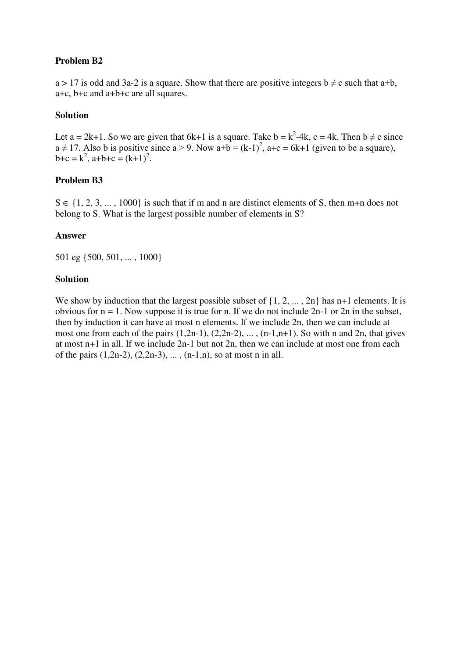# **Problem B2**

 $a > 17$  is odd and 3a-2 is a square. Show that there are positive integers  $b \neq c$  such that a+b, a+c, b+c and a+b+c are all squares.

#### **Solution**

Let a = 2k+1. So we are given that 6k+1 is a square. Take  $b = k^2-4k$ ,  $c = 4k$ . Then  $b \neq c$  since  $a \neq 17$ . Also b is positive since  $a > 9$ . Now  $a+b = (k-1)^2$ ,  $a+c = 6k+1$  (given to be a square),  $b+c = k^2$ ,  $a+b+c = (k+1)^2$ .

#### **Problem B3**

 $S \in \{1, 2, 3, \ldots, 1000\}$  is such that if m and n are distinct elements of S, then m+n does not belong to S. What is the largest possible number of elements in S?

#### **Answer**

501 eg {500, 501, ... , 1000}

#### **Solution**

We show by induction that the largest possible subset of  $\{1, 2, ..., 2n\}$  has n+1 elements. It is obvious for  $n = 1$ . Now suppose it is true for n. If we do not include  $2n-1$  or  $2n$  in the subset, then by induction it can have at most n elements. If we include 2n, then we can include at most one from each of the pairs  $(1,2n-1)$ ,  $(2,2n-2)$ , ...,  $(n-1,n+1)$ . So with n and 2n, that gives at most n+1 in all. If we include 2n-1 but not 2n, then we can include at most one from each of the pairs  $(1,2n-2)$ ,  $(2,2n-3)$ , ...,  $(n-1,n)$ , so at most n in all.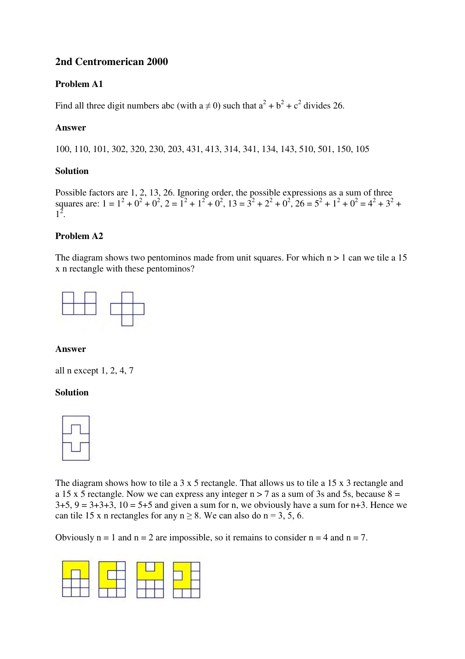# **2nd Centromerican 2000**

# **Problem A1**

Find all three digit numbers abc (with  $a \neq 0$ ) such that  $a^2 + b^2 + c^2$  divides 26.

# **Answer**

100, 110, 101, 302, 320, 230, 203, 431, 413, 314, 341, 134, 143, 510, 501, 150, 105

#### **Solution**

Possible factors are 1, 2, 13, 26. Ignoring order, the possible expressions as a sum of three squares are:  $1 = 1^2 + 0^2 + 0^2$ ,  $2 = 1^2 + 1^2 + 0^2$ ,  $13 = 3^2 + 2^2 + 0^2$ ,  $26 = 5^2 + 1^2 + 0^2 = 4^2 + 3^2 +$  $1^2$ .

# **Problem A2**

The diagram shows two pentominos made from unit squares. For which  $n > 1$  can we tile a 15 x n rectangle with these pentominos?



#### **Answer**

all n except 1, 2, 4, 7

#### **Solution**



The diagram shows how to tile a 3 x 5 rectangle. That allows us to tile a 15 x 3 rectangle and a 15 x 5 rectangle. Now we can express any integer  $n > 7$  as a sum of 3s and 5s, because  $8 =$  $3+5$ ,  $9 = 3+3+3$ ,  $10 = 5+5$  and given a sum for n, we obviously have a sum for n+3. Hence we can tile 15 x n rectangles for any  $n \ge 8$ . We can also do  $n = 3, 5, 6$ .

Obviously  $n = 1$  and  $n = 2$  are impossible, so it remains to consider  $n = 4$  and  $n = 7$ .

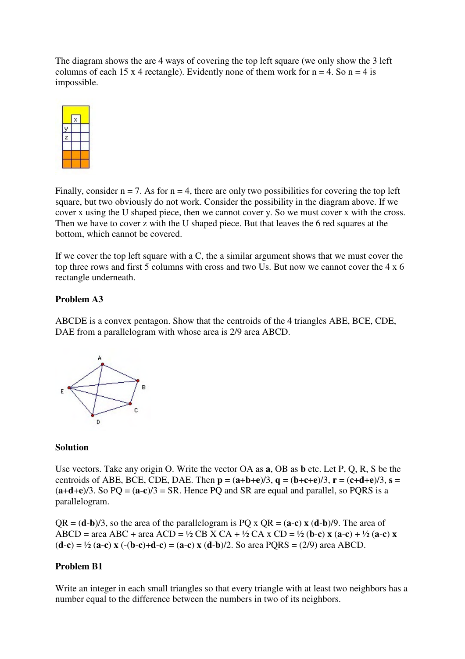The diagram shows the are 4 ways of covering the top left square (we only show the 3 left columns of each 15 x 4 rectangle). Evidently none of them work for  $n = 4$ . So  $n = 4$  is impossible.



Finally, consider  $n = 7$ . As for  $n = 4$ , there are only two possibilities for covering the top left square, but two obviously do not work. Consider the possibility in the diagram above. If we cover x using the U shaped piece, then we cannot cover y. So we must cover x with the cross. Then we have to cover z with the U shaped piece. But that leaves the 6 red squares at the bottom, which cannot be covered.

If we cover the top left square with a C, the a similar argument shows that we must cover the top three rows and first 5 columns with cross and two Us. But now we cannot cover the 4 x 6 rectangle underneath.

#### **Problem A3**

ABCDE is a convex pentagon. Show that the centroids of the 4 triangles ABE, BCE, CDE, DAE from a parallelogram with whose area is 2/9 area ABCD.



#### **Solution**

Use vectors. Take any origin O. Write the vector OA as **a**, OB as **b** etc. Let P, Q, R, S be the centroids of ABE, BCE, CDE, DAE. Then  $\mathbf{p} = (\mathbf{a} + \mathbf{b} + \mathbf{e})/3$ ,  $\mathbf{q} = (\mathbf{b} + \mathbf{c} + \mathbf{e})/3$ ,  $\mathbf{r} = (\mathbf{c} + \mathbf{d} + \mathbf{e})/3$ ,  $\mathbf{s} =$  $(a+d+e)/3$ . So PQ =  $(a-c)/3$  = SR. Hence PQ and SR are equal and parallel, so PQRS is a parallelogram.

 $QR = (\mathbf{d} \cdot \mathbf{b})/3$ , so the area of the parallelogram is  $PQ \times QR = (\mathbf{a} \cdot \mathbf{c}) \times (\mathbf{d} \cdot \mathbf{b})/9$ . The area of ABCD = area ABC + area ACD =  $\frac{1}{2}$  CB X CA +  $\frac{1}{2}$  CA x CD =  $\frac{1}{2}$  (**b-c**) **x** (**a-c**) +  $\frac{1}{2}$  (**a-c**) **x**  $(**d** - **c**) = <sup>1</sup>/<sub>2</sub> (**a** - **c**) \times (**d** - **c**) = (**a** - **c**) \times (**d** - **b**)/2$ . So area PQRS = (2/9) area ABCD.

#### **Problem B1**

Write an integer in each small triangles so that every triangle with at least two neighbors has a number equal to the difference between the numbers in two of its neighbors.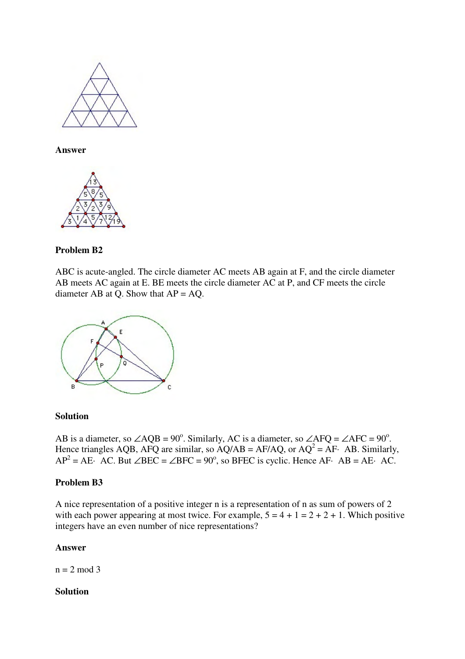

**Answer**



#### **Problem B2**

ABC is acute-angled. The circle diameter AC meets AB again at F, and the circle diameter AB meets AC again at E. BE meets the circle diameter AC at P, and CF meets the circle diameter AB at Q. Show that  $AP = AQ$ .



#### **Solution**

AB is a diameter, so  $\angle AQB = 90^\circ$ . Similarly, AC is a diameter, so  $\angle AFQ = \angle AFC = 90^\circ$ . Hence triangles AQB, AFQ are similar, so  $\angle AQAB = AF/AQ$ , or  $AQ^2 = AF$ . AB. Similarly,  $AP^2 = AE$  AC. But  $\angle BEC = \angle BFC = 90^\circ$ , so BFEC is cyclic. Hence AF· AB = AE· AC.

#### **Problem B3**

A nice representation of a positive integer n is a representation of n as sum of powers of 2 with each power appearing at most twice. For example,  $5 = 4 + 1 = 2 + 2 + 1$ . Which positive integers have an even number of nice representations?

#### **Answer**

 $n = 2 \mod 3$ 

#### **Solution**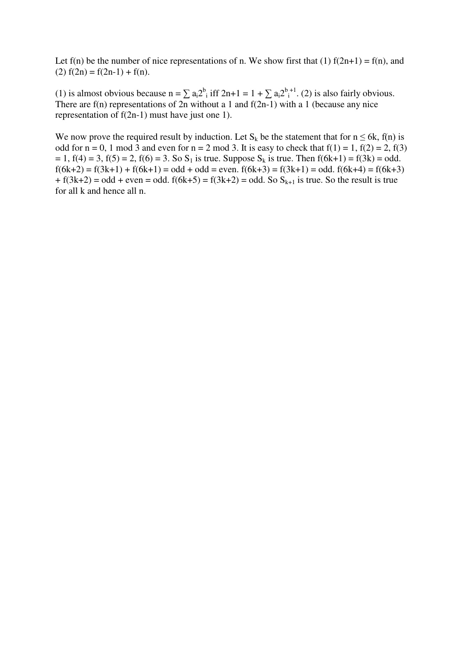Let  $f(n)$  be the number of nice representations of n. We show first that (1)  $f(2n+1) = f(n)$ , and (2)  $f(2n) = f(2n-1) + f(n)$ .

(1) is almost obvious because  $n = \sum a_i 2^b$  iff  $2n+1 = 1 + \sum a_i 2^{b+1}$ . (2) is also fairly obvious. There are  $f(n)$  representations of 2n without a 1 and  $f(2n-1)$  with a 1 (because any nice representation of f(2n-1) must have just one 1).

We now prove the required result by induction. Let  $S_k$  be the statement that for  $n \leq 6k$ , f(n) is odd for  $n = 0$ , 1 mod 3 and even for  $n = 2$  mod 3. It is easy to check that  $f(1) = 1$ ,  $f(2) = 2$ ,  $f(3)$  $= 1$ ,  $f(4) = 3$ ,  $f(5) = 2$ ,  $f(6) = 3$ . So  $S_1$  is true. Suppose  $S_k$  is true. Then  $f(6k+1) = f(3k) = odd$ .  $f(6k+2) = f(3k+1) + f(6k+1) = odd + odd = even.$   $f(6k+3) = f(3k+1) = odd.$   $f(6k+4) = f(6k+3)$  $+f(3k+2) = odd + even = odd.$   $f(6k+5) = f(3k+2) = odd.$  So  $S_{k+1}$  is true. So the result is true for all k and hence all n.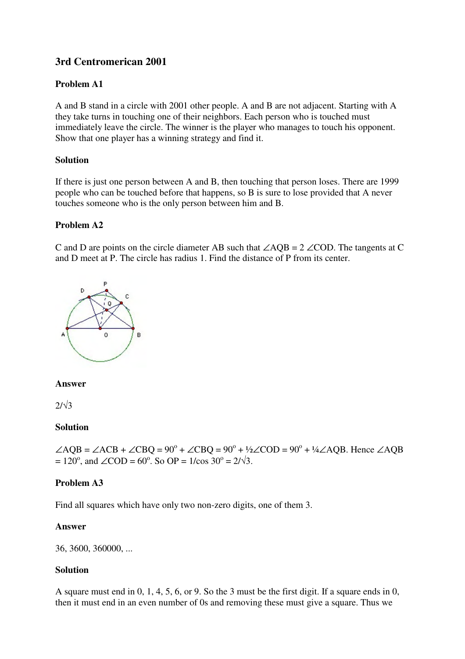# **3rd Centromerican 2001**

# **Problem A1**

A and B stand in a circle with 2001 other people. A and B are not adjacent. Starting with A they take turns in touching one of their neighbors. Each person who is touched must immediately leave the circle. The winner is the player who manages to touch his opponent. Show that one player has a winning strategy and find it.

# **Solution**

If there is just one person between A and B, then touching that person loses. There are 1999 people who can be touched before that happens, so B is sure to lose provided that A never touches someone who is the only person between him and B.

# **Problem A2**

C and D are points on the circle diameter AB such that ∠AQB = 2 ∠COD. The tangents at C and D meet at P. The circle has radius 1. Find the distance of P from its center.



# **Answer**

 $2/\sqrt{3}$ 

# **Solution**

 $\angle AQB = \angle ACB + \angle CBQ = 90^{\circ} + \angle CBQ = 90^{\circ} + \frac{1}{2}\angle COD = 90^{\circ} + \frac{1}{4}\angle AQB$ . Hence  $\angle AQB$  $= 120^{\circ}$ , and  $\angle COD = 60^{\circ}$ . So OP = 1/cos 30° = 2/ $\sqrt{3}$ .

# **Problem A3**

Find all squares which have only two non-zero digits, one of them 3.

# **Answer**

36, 3600, 360000, ...

# **Solution**

A square must end in 0, 1, 4, 5, 6, or 9. So the 3 must be the first digit. If a square ends in 0, then it must end in an even number of 0s and removing these must give a square. Thus we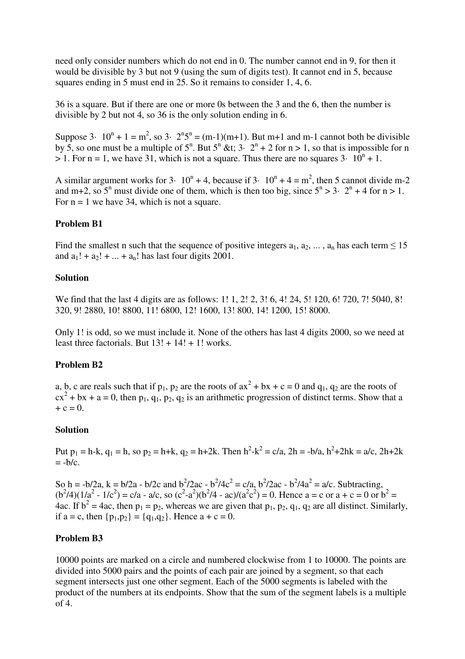need only consider numbers which do not end in 0. The number cannot end in 9, for then it would be divisible by 3 but not 9 (using the sum of digits test). It cannot end in 5, because squares ending in 5 must end in 25. So it remains to consider 1, 4, 6.

36 is a square. But if there are one or more 0s between the 3 and the 6, then the number is divisible by 2 but not 4, so 36 is the only solution ending in 6.

Suppose 3  $\cdot$  10<sup>n</sup> + 1 = m<sup>2</sup>, so 3  $\cdot$  2<sup>n</sup>5<sup>n</sup> = (m-1)(m+1). But m+1 and m-1 cannot both be divisible by 5, so one must be a multiple of  $5^n$ . But  $5^n$  &t;  $3 \cdot 2^n + 2$  for  $n > 1$ , so that is impossible for n  $> 1$ . For n = 1, we have 31, which is not a square. Thus there are no squares 3 $\cdot$  10<sup>n</sup> + 1.

A similar argument works for  $3 \cdot 10^n + 4$ , because if  $3 \cdot 10^n + 4 = m^2$ , then 5 cannot divide m-2 and m+2, so  $5^n$  must divide one of them, which is then too big, since  $5^n > 3 \cdot 2^n + 4$  for  $n > 1$ . For  $n = 1$  we have 34, which is not a square.

#### **Problem B1**

Find the smallest n such that the sequence of positive integers  $a_1, a_2, \ldots, a_n$  has each term  $\leq 15$ and  $a_1! + a_2! + ... + a_n!$  has last four digits 2001.

#### **Solution**

We find that the last 4 digits are as follows: 1! 1, 2! 2, 3! 6, 4! 24, 5! 120, 6! 720, 7! 5040, 8! 320, 9! 2880, 10! 8800, 11! 6800, 12! 1600, 13! 800, 14! 1200, 15! 8000.

Only 1! is odd, so we must include it. None of the others has last 4 digits 2000, so we need at least three factorials. But  $13! + 14! + 1!$  works.

# **Problem B2**

a, b, c are reals such that if  $p_1$ ,  $p_2$  are the roots of  $ax^2 + bx + c = 0$  and  $q_1$ ,  $q_2$  are the roots of  $cx^{2} + bx + a = 0$ , then  $p_{1}$ ,  $q_{1}$ ,  $p_{2}$ ,  $q_{2}$  is an arithmetic progression of distinct terms. Show that a  $+ c = 0.$ 

#### **Solution**

Put  $p_1 = h - k$ ,  $q_1 = h$ , so  $p_2 = h + k$ ,  $q_2 = h + 2k$ . Then  $h^2 - k^2 = c/a$ ,  $2h = -b/a$ ,  $h^2 + 2hk = a/c$ ,  $2h + 2k$  $= -b/c$ .

So h = -b/2a, k = b/2a - b/2c and b<sup>2</sup>/2ac - b<sup>2</sup>/4c<sup>2</sup> = c/a, b<sup>2</sup>/2ac - b<sup>2</sup>/4a<sup>2</sup> = a/c. Subtracting,  $(b^2/4)(1/a^2 - 1/c^2) = c/a - a/c$ , so  $(c^2-a^2)(b^2/4 - ac)/(a^2c^2) = 0$ . Hence  $a = c$  or  $a + c = 0$  or  $b^2 =$ 4ac. If  $b^2 = 4ac$ , then  $p_1 = p_2$ , whereas we are given that  $p_1$ ,  $p_2$ ,  $q_1$ ,  $q_2$  are all distinct. Similarly, if  $a = c$ , then  $\{p_1, p_2\} = \{q_1, q_2\}$ . Hence  $a + c = 0$ .

#### **Problem B3**

10000 points are marked on a circle and numbered clockwise from 1 to 10000. The points are divided into 5000 pairs and the points of each pair are joined by a segment, so that each segment intersects just one other segment. Each of the 5000 segments is labeled with the product of the numbers at its endpoints. Show that the sum of the segment labels is a multiple of 4.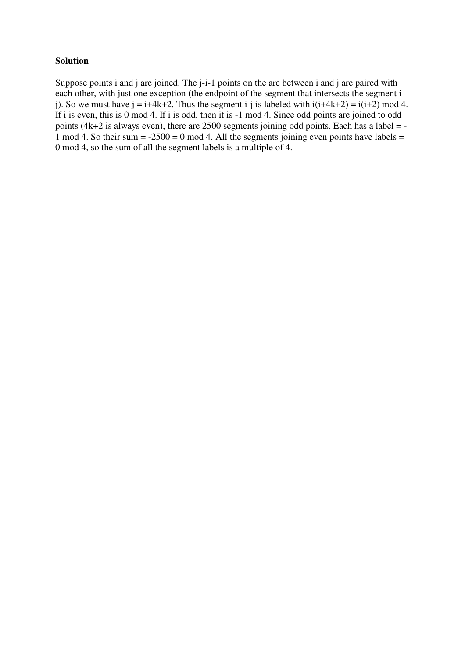#### **Solution**

Suppose points i and j are joined. The *j*-*i*-1 points on the arc between i and j are paired with each other, with just one exception (the endpoint of the segment that intersects the segment ij). So we must have  $j = i+4k+2$ . Thus the segment  $i-j$  is labeled with  $i(i+4k+2) = i(i+2) \mod 4$ . If i is even, this is 0 mod 4. If i is odd, then it is  $-1$  mod 4. Since odd points are joined to odd points (4k+2 is always even), there are  $2500$  segments joining odd points. Each has a label = -1 mod 4. So their sum  $= -2500 = 0$  mod 4. All the segments joining even points have labels  $=$ 0 mod 4, so the sum of all the segment labels is a multiple of 4.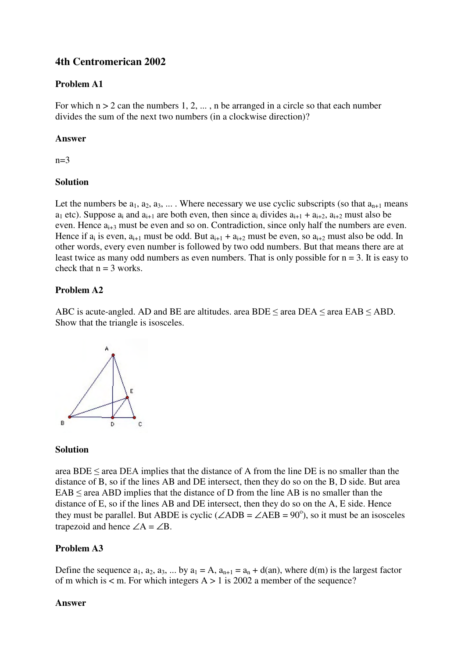# **4th Centromerican 2002**

# **Problem A1**

For which  $n > 2$  can the numbers 1, 2, ..., n be arranged in a circle so that each number divides the sum of the next two numbers (in a clockwise direction)?

# **Answer**

 $n=3$ 

# **Solution**

Let the numbers be  $a_1, a_2, a_3, \ldots$ . Where necessary we use cyclic subscripts (so that  $a_{n+1}$  means  $a_1$  etc). Suppose  $a_i$  and  $a_{i+1}$  are both even, then since  $a_i$  divides  $a_{i+1} + a_{i+2}$ ,  $a_{i+2}$  must also be even. Hence  $a_{i+3}$  must be even and so on. Contradiction, since only half the numbers are even. Hence if  $a_i$  is even,  $a_{i+1}$  must be odd. But  $a_{i+1} + a_{i+2}$  must be even, so  $a_{i+2}$  must also be odd. In other words, every even number is followed by two odd numbers. But that means there are at least twice as many odd numbers as even numbers. That is only possible for  $n = 3$ . It is easy to check that  $n = 3$  works.

# **Problem A2**

ABC is acute-angled. AD and BE are altitudes. area BDE  $\leq$  area DEA  $\leq$  area EAB  $\leq$  ABD. Show that the triangle is isosceles.



#### **Solution**

area BDE  $\leq$  area DEA implies that the distance of A from the line DE is no smaller than the distance of B, so if the lines AB and DE intersect, then they do so on the B, D side. But area  $EAB \leq$  area ABD implies that the distance of D from the line AB is no smaller than the distance of E, so if the lines AB and DE intersect, then they do so on the A, E side. Hence they must be parallel. But ABDE is cyclic ( $\angle$ ADB =  $\angle$ AEB = 90<sup>o</sup>), so it must be an isosceles trapezoid and hence  $\angle A = \angle B$ .

# **Problem A3**

Define the sequence  $a_1, a_2, a_3, ...$  by  $a_1 = A$ ,  $a_{n+1} = a_n + d(an)$ , where  $d(m)$  is the largest factor of m which is  $\lt m$ . For which integers  $A > 1$  is 2002 a member of the sequence?

#### **Answer**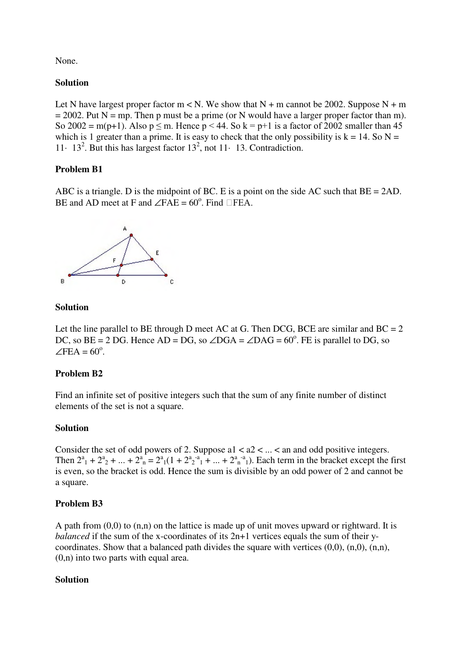None.

## **Solution**

Let N have largest proper factor  $m < N$ . We show that N + m cannot be 2002. Suppose N + m  $= 2002$ . Put N = mp. Then p must be a prime (or N would have a larger proper factor than m). So 2002 = m(p+1). Also  $p \le m$ . Hence  $p < 44$ . So  $k = p+1$  is a factor of 2002 smaller than 45 which is 1 greater than a prime. It is easy to check that the only possibility is  $k = 14$ . So  $N =$ 11  $\cdot$  13<sup>2</sup>. But this has largest factor 13<sup>2</sup>, not 11 $\cdot$  13. Contradiction.

# **Problem B1**

ABC is a triangle. D is the midpoint of BC. E is a point on the side AC such that BE = 2AD. BE and AD meet at F and  $\angle$ FAE = 60<sup>o</sup>. Find  $\Box$ FEA.



# **Solution**

Let the line parallel to BE through D meet AC at G. Then DCG, BCE are similar and  $BC = 2$ DC, so BE = 2 DG. Hence  $AD = DG$ , so  $\angle DGA = \angle DAG = 60^\circ$ . FE is parallel to DG, so  $\angle$ FEA = 60<sup>o</sup>.

# **Problem B2**

Find an infinite set of positive integers such that the sum of any finite number of distinct elements of the set is not a square.

#### **Solution**

Consider the set of odd powers of 2. Suppose  $a1 < a2 < ... < a$  and odd positive integers. Then  $2^a_1 + 2^a_2 + ... + 2^a_n = 2^a_1(1 + 2^a_2^{-a_1} + ... + 2^a_n^{-a_1})$ . Each term in the bracket except the first is even, so the bracket is odd. Hence the sum is divisible by an odd power of 2 and cannot be a square.

# **Problem B3**

A path from  $(0,0)$  to  $(n,n)$  on the lattice is made up of unit moves upward or rightward. It is *balanced* if the sum of the x-coordinates of its 2n+1 vertices equals the sum of their ycoordinates. Show that a balanced path divides the square with vertices  $(0,0)$ ,  $(n,0)$ ,  $(n,n)$ ,  $(0,n)$  into two parts with equal area.

#### **Solution**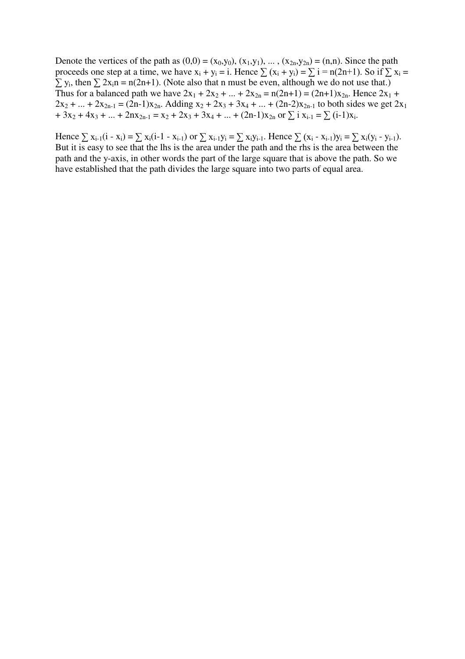Denote the vertices of the path as  $(0,0) = (x_0,y_0)$ ,  $(x_1,y_1)$ , ...,  $(x_{2n},y_{2n}) = (n,n)$ . Since the path proceeds one step at a time, we have  $x_i + y_i = i$ . Hence  $\sum (x_i + y_i) = \sum i = n(2n+1)$ . So if  $\sum x_i =$  $\sum y_i$ , then  $\sum 2x_i$ n = n(2n+1). (Note also that n must be even, although we do not use that.) Thus for a balanced path we have  $2x_1 + 2x_2 + ... + 2x_{2n} = n(2n+1) = (2n+1)x_{2n}$ . Hence  $2x_1 + ...$  $2x_2 + ... + 2x_{2n-1} = (2n-1)x_{2n}$ . Adding  $x_2 + 2x_3 + 3x_4 + ... + (2n-2)x_{2n-1}$  to both sides we get  $2x_1$  $+ 3x_2 + 4x_3 + ... + 2nx_{2n-1} = x_2 + 2x_3 + 3x_4 + ... + (2n-1)x_{2n}$  or  $\sum i x_{i-1} = \sum (i-1)x_i$ .

Hence  $\sum x_{i-1}(i - x_i) = \sum x_i(i-1 - x_{i-1})$  or  $\sum x_{i-1}y_i = \sum x_iy_{i-1}$ . Hence  $\sum (x_i - x_{i-1})y_i = \sum x_i(y_i - y_{i-1})$ . But it is easy to see that the lhs is the area under the path and the rhs is the area between the path and the y-axis, in other words the part of the large square that is above the path. So we have established that the path divides the large square into two parts of equal area.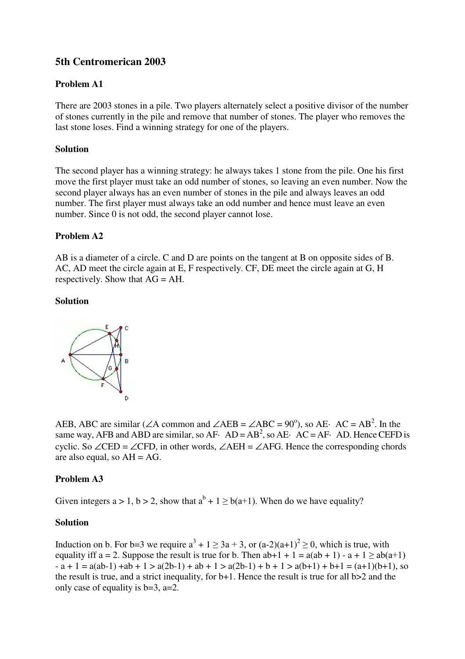# **5th Centromerican 2003**

# **Problem A1**

There are 2003 stones in a pile. Two players alternately select a positive divisor of the number of stones currently in the pile and remove that number of stones. The player who removes the last stone loses. Find a winning strategy for one of the players.

#### **Solution**

The second player has a winning strategy: he always takes 1 stone from the pile. One his first move the first player must take an odd number of stones, so leaving an even number. Now the second player always has an even number of stones in the pile and always leaves an odd number. The first player must always take an odd number and hence must leave an even number. Since 0 is not odd, the second player cannot lose.

#### **Problem A2**

AB is a diameter of a circle. C and D are points on the tangent at B on opposite sides of B. AC, AD meet the circle again at E, F respectively. CF, DE meet the circle again at G, H respectively. Show that AG = AH.

#### **Solution**



AEB, ABC are similar ( $\angle A$  common and  $\angle AEB = \angle ABC = 90^\circ$ ), so AE· AC = AB<sup>2</sup>. In the same way, AFB and ABD are similar, so AF $\cdot$  AD = AB<sup>2</sup>, so AE $\cdot$  AC = AF $\cdot$  AD. Hence CEFD is cyclic. So ∠CED = ∠CFD, in other words, ∠AEH = ∠AFG. Hence the corresponding chords are also equal, so  $AH = AG$ .

#### **Problem A3**

Given integers a > 1, b > 2, show that  $a^{b} + 1 \ge b(a+1)$ . When do we have equality?

#### **Solution**

Induction on b. For b=3 we require  $a^3 + 1 \ge 3a + 3$ , or  $(a-2)(a+1)^2 \ge 0$ , which is true, with equality iff  $a = 2$ . Suppose the result is true for b. Then  $ab+1 + 1 = a(ab + 1) - a + 1 \geq ab(a+1)$  $-a + 1 = a(ab-1) + ab + 1 > a(2b-1) + ab + 1 > a(2b-1) + b + 1 > a(b+1) + b+1 = (a+1)(b+1)$ , so the result is true, and a strict inequality, for b+1. Hence the result is true for all b>2 and the only case of equality is  $b=3$ ,  $a=2$ .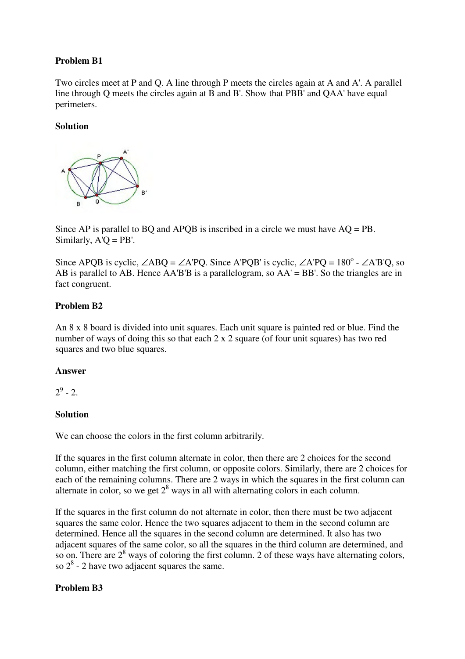# **Problem B1**

Two circles meet at P and Q. A line through P meets the circles again at A and A'. A parallel line through Q meets the circles again at B and B'. Show that PBB' and QAA' have equal perimeters.

# **Solution**



Since AP is parallel to BQ and APQB is inscribed in a circle we must have AQ = PB. Similarly,  $A'O = PB'$ .

Since APQB is cyclic,  $\angle$ ABQ =  $\angle$ A'PQ. Since A'PQB' is cyclic,  $\angle$ A'PQ = 180<sup>o</sup> -  $\angle$ A'B'Q, so AB is parallel to AB. Hence  $AA'B'B$  is a parallelogram, so  $AA' = BB'$ . So the triangles are in fact congruent.

# **Problem B2**

An 8 x 8 board is divided into unit squares. Each unit square is painted red or blue. Find the number of ways of doing this so that each 2 x 2 square (of four unit squares) has two red squares and two blue squares.

#### **Answer**

 $2^9$  - 2.

# **Solution**

We can choose the colors in the first column arbitrarily.

If the squares in the first column alternate in color, then there are 2 choices for the second column, either matching the first column, or opposite colors. Similarly, there are 2 choices for each of the remaining columns. There are 2 ways in which the squares in the first column can alternate in color, so we get  $2^8$  ways in all with alternating colors in each column.

If the squares in the first column do not alternate in color, then there must be two adjacent squares the same color. Hence the two squares adjacent to them in the second column are determined. Hence all the squares in the second column are determined. It also has two adjacent squares of the same color, so all the squares in the third column are determined, and so on. There are  $2^8$  ways of coloring the first column. 2 of these ways have alternating colors, so  $2^8$  - 2 have two adjacent squares the same.

# **Problem B3**